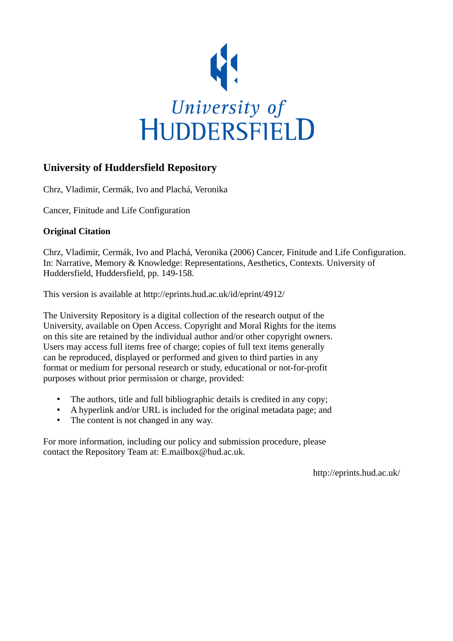

# **University of Huddersfield Repository**

Chrz, Vladimir, Cermák, Ivo and Plachá, Veronika

Cancer, Finitude and Life Configuration

# **Original Citation**

Chrz, Vladimir, Cermák, Ivo and Plachá, Veronika (2006) Cancer, Finitude and Life Configuration. In: Narrative, Memory & Knowledge: Representations, Aesthetics, Contexts. University of Huddersfield, Huddersfield, pp. 149-158.

This version is available at http://eprints.hud.ac.uk/id/eprint/4912/

The University Repository is a digital collection of the research output of the University, available on Open Access. Copyright and Moral Rights for the items on this site are retained by the individual author and/or other copyright owners. Users may access full items free of charge; copies of full text items generally can be reproduced, displayed or performed and given to third parties in any format or medium for personal research or study, educational or not-for-profit purposes without prior permission or charge, provided:

- The authors, title and full bibliographic details is credited in any copy;
- A hyperlink and/or URL is included for the original metadata page; and
- The content is not changed in any way.

For more information, including our policy and submission procedure, please contact the Repository Team at: E.mailbox@hud.ac.uk.

http://eprints.hud.ac.uk/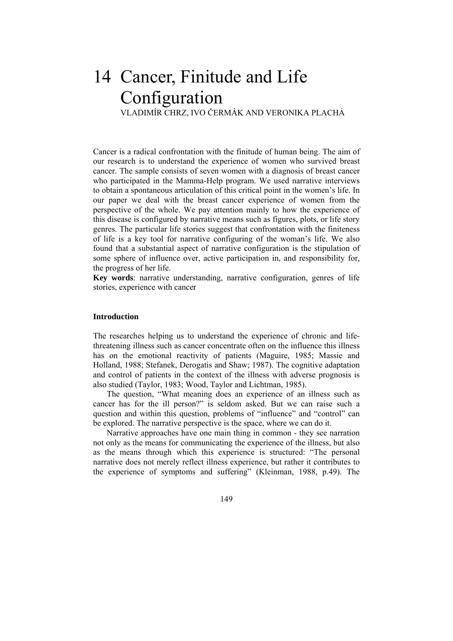# 14 Cancer, Finitude and Life Configuration<br>VLADIMÍR CHRZ, IVO ČERMÁK AND VERONIKA PLACHÁ

Cancer is a radical confrontation with the finitude of human being. The aim of our research is to understand the experience of women who survived breast cancer. The sample consists of seven women with a diagnosis of breast cancer who participated in the Mamma-Help program. We used narrative interviews to obtain a spontaneous articulation of this critical point in the women's life. In our paper we deal with the breast cancer experience of women from the perspective of the whole. We pay attention mainly to how the experience of this disease is configured by narrative means such as figures, plots, or life story genres. The particular life stories suggest that confrontation with the finiteness of life is a key tool for narrative configuring of the woman's life. We also found that a substantial aspect of narrative configuration is the stipulation of some sphere of influence over, active participation in, and responsibility for, the progress of her life.

**Key words**: narrative understanding, narrative configuration, genres of life stories, experience with cancer

## **Introduction**

The researches helping us to understand the experience of chronic and lifethreatening illness such as cancer concentrate often on the influence this illness has on the emotional reactivity of patients (Maguire, 1985; Massie and Holland, 1988; Stefanek, Derogatis and Shaw; 1987). The cognitive adaptation and control of patients in the context of the illness with adverse prognosis is also studied (Taylor, 1983; Wood, Taylor and Lichtman, 1985).

 The question, "What meaning does an experience of an illness such as cancer has for the ill person?" is seldom asked. But we can raise such a question and within this question, problems of "influence" and "control" can be explored. The narrative perspective is the space, where we can do it.

 Narrative approaches have one main thing in common - they see narration not only as the means for communicating the experience of the illness, but also as the means through which this experience is structured: "The personal narrative does not merely reflect illness experience, but rather it contributes to the experience of symptoms and suffering" (Kleinman, 1988, p.49). The

149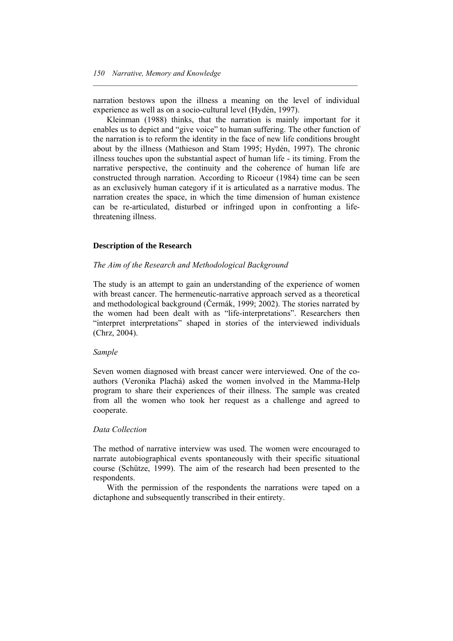narration bestows upon the illness a meaning on the level of individual experience as well as on a socio-cultural level (Hydén, 1997).

 $\mathcal{L} = \{ \mathcal{L} \mathcal{L} \mathcal{L} \mathcal{L} \mathcal{L} \mathcal{L} \mathcal{L} \mathcal{L} \mathcal{L} \mathcal{L} \mathcal{L} \mathcal{L} \mathcal{L} \mathcal{L} \mathcal{L} \mathcal{L} \mathcal{L} \mathcal{L} \mathcal{L} \mathcal{L} \mathcal{L} \mathcal{L} \mathcal{L} \mathcal{L} \mathcal{L} \mathcal{L} \mathcal{L} \mathcal{L} \mathcal{L} \mathcal{L} \mathcal{L} \mathcal{L} \mathcal{L} \mathcal{L} \mathcal{L} \$ 

 Kleinman (1988) thinks, that the narration is mainly important for it enables us to depict and "give voice" to human suffering. The other function of the narration is to reform the identity in the face of new life conditions brought about by the illness (Mathieson and Stam 1995; Hydén, 1997). The chronic illness touches upon the substantial aspect of human life - its timing. From the narrative perspective, the continuity and the coherence of human life are constructed through narration. According to Ricoeur (1984) time can be seen as an exclusively human category if it is articulated as a narrative modus. The narration creates the space, in which the time dimension of human existence can be re-articulated, disturbed or infringed upon in confronting a lifethreatening illness.

#### **Description of the Research**

#### *The Aim of the Research and Methodological Background*

The study is an attempt to gain an understanding of the experience of women with breast cancer. The hermeneutic-narrative approach served as a theoretical and methodological background (Čermák, 1999; 2002). The stories narrated by the women had been dealt with as "life-interpretations". Researchers then "interpret interpretations" shaped in stories of the interviewed individuals (Chrz, 2004).

#### *Sample*

Seven women diagnosed with breast cancer were interviewed. One of the coauthors (Veronika Plachá) asked the women involved in the Mamma-Help program to share their experiences of their illness. The sample was created from all the women who took her request as a challenge and agreed to cooperate.

#### *Data Collection*

The method of narrative interview was used. The women were encouraged to narrate autobiographical events spontaneously with their specific situational course (Schütze, 1999). The aim of the research had been presented to the respondents.

 With the permission of the respondents the narrations were taped on a dictaphone and subsequently transcribed in their entirety.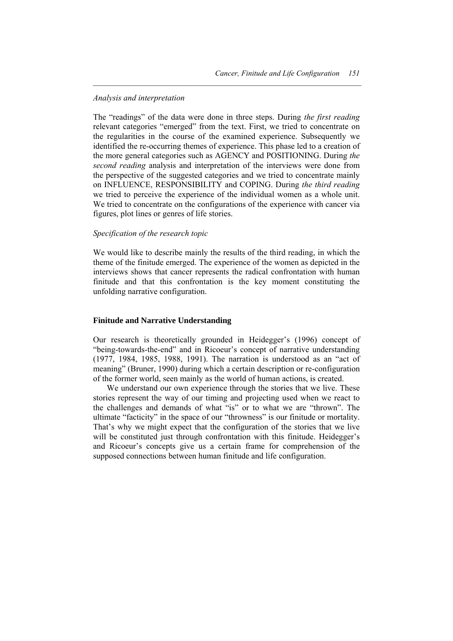#### *Analysis and interpretation*

The "readings" of the data were done in three steps. During *the first reading* relevant categories "emerged" from the text. First, we tried to concentrate on the regularities in the course of the examined experience. Subsequently we identified the re-occurring themes of experience. This phase led to a creation of the more general categories such as AGENCY and POSITIONING. During *the second reading* analysis and interpretation of the interviews were done from the perspective of the suggested categories and we tried to concentrate mainly on INFLUENCE, RESPONSIBILITY and COPING. During *the third reading* we tried to perceive the experience of the individual women as a whole unit. We tried to concentrate on the configurations of the experience with cancer via figures, plot lines or genres of life stories.

 $\mathcal{L} = \{ \mathcal{L} \mathcal{L} \mathcal{L} \mathcal{L} \mathcal{L} \mathcal{L} \mathcal{L} \mathcal{L} \mathcal{L} \mathcal{L} \mathcal{L} \mathcal{L} \mathcal{L} \mathcal{L} \mathcal{L} \mathcal{L} \mathcal{L} \mathcal{L} \mathcal{L} \mathcal{L} \mathcal{L} \mathcal{L} \mathcal{L} \mathcal{L} \mathcal{L} \mathcal{L} \mathcal{L} \mathcal{L} \mathcal{L} \mathcal{L} \mathcal{L} \mathcal{L} \mathcal{L} \mathcal{L} \mathcal{L} \$ 

## *Specification of the research topic*

We would like to describe mainly the results of the third reading, in which the theme of the finitude emerged. The experience of the women as depicted in the interviews shows that cancer represents the radical confrontation with human finitude and that this confrontation is the key moment constituting the unfolding narrative configuration.

## **Finitude and Narrative Understanding**

Our research is theoretically grounded in Heidegger's (1996) concept of "being-towards-the-end" and in Ricoeur's concept of narrative understanding (1977, 1984, 1985, 1988, 1991). The narration is understood as an "act of meaning" (Bruner, 1990) during which a certain description or re-configuration of the former world, seen mainly as the world of human actions, is created.

 We understand our own experience through the stories that we live. These stories represent the way of our timing and projecting used when we react to the challenges and demands of what "is" or to what we are "thrown". The ultimate "facticity" in the space of our "throwness" is our finitude or mortality. That's why we might expect that the configuration of the stories that we live will be constituted just through confrontation with this finitude. Heidegger's and Ricoeur's concepts give us a certain frame for comprehension of the supposed connections between human finitude and life configuration.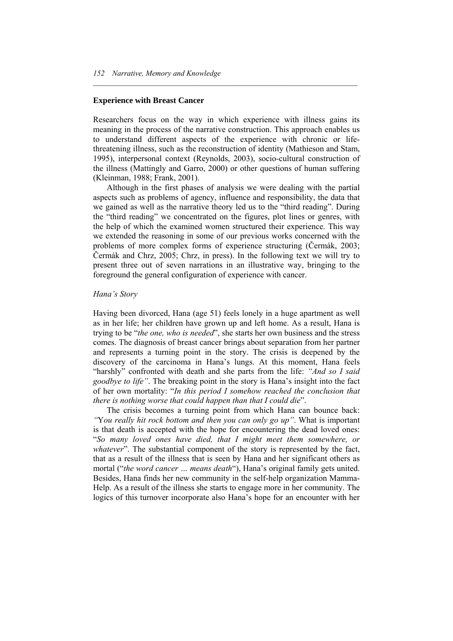# **Experience with Breast Cancer**

Researchers focus on the way in which experience with illness gains its meaning in the process of the narrative construction. This approach enables us to understand different aspects of the experience with chronic or lifethreatening illness, such as the reconstruction of identity (Mathieson and Stam, 1995), interpersonal context (Reynolds, 2003), socio-cultural construction of the illness (Mattingly and Garro, 2000) or other questions of human suffering (Kleinman, 1988; Frank, 2001).

 $\mathcal{L} = \{ \mathcal{L} \mathcal{L} \mathcal{L} \mathcal{L} \mathcal{L} \mathcal{L} \mathcal{L} \mathcal{L} \mathcal{L} \mathcal{L} \mathcal{L} \mathcal{L} \mathcal{L} \mathcal{L} \mathcal{L} \mathcal{L} \mathcal{L} \mathcal{L} \mathcal{L} \mathcal{L} \mathcal{L} \mathcal{L} \mathcal{L} \mathcal{L} \mathcal{L} \mathcal{L} \mathcal{L} \mathcal{L} \mathcal{L} \mathcal{L} \mathcal{L} \mathcal{L} \mathcal{L} \mathcal{L} \mathcal{L} \$ 

 Although in the first phases of analysis we were dealing with the partial aspects such as problems of agency, influence and responsibility, the data that we gained as well as the narrative theory led us to the "third reading". During the "third reading" we concentrated on the figures, plot lines or genres, with the help of which the examined women structured their experience. This way we extended the reasoning in some of our previous works concerned with the problems of more complex forms of experience structuring (Čermák, 2003; Čermák and Chrz, 2005; Chrz, in press). In the following text we will try to present three out of seven narrations in an illustrative way, bringing to the foreground the general configuration of experience with cancer.

#### *Hana's Story*

Having been divorced, Hana (age 51) feels lonely in a huge apartment as well as in her life; her children have grown up and left home. As a result, Hana is trying to be "*the one, who is needed*", she starts her own business and the stress comes. The diagnosis of breast cancer brings about separation from her partner and represents a turning point in the story. The crisis is deepened by the discovery of the carcinoma in Hana's lungs. At this moment, Hana feels "harshly" confronted with death and she parts from the life: *"And so I said goodbye to life"*. The breaking point in the story is Hana's insight into the fact of her own mortality: "*In this period I somehow reached the conclusion that there is nothing worse that could happen than that I could die*".

 The crisis becomes a turning point from which Hana can bounce back: *"*Y*ou really hit rock bottom and then you can only go up"*. What is important is that death is accepted with the hope for encountering the dead loved ones: "*So many loved ones have died, that I might meet them somewhere, or whatever*". The substantial component of the story is represented by the fact, that as a result of the illness that is seen by Hana and her significant others as mortal ("*the word cancer … means death*"), Hana's original family gets united. Besides, Hana finds her new community in the self-help organization Mamma-Help. As a result of the illness she starts to engage more in her community. The logics of this turnover incorporate also Hana's hope for an encounter with her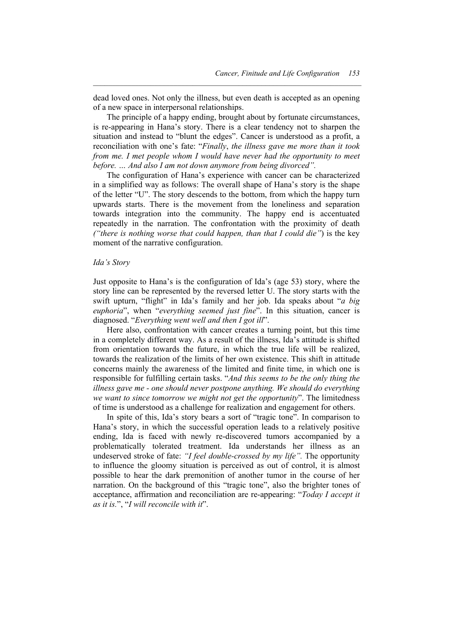dead loved ones. Not only the illness, but even death is accepted as an opening of a new space in interpersonal relationships.

 $\mathcal{L} = \{ \mathcal{L} \mathcal{L} \mathcal{L} \mathcal{L} \mathcal{L} \mathcal{L} \mathcal{L} \mathcal{L} \mathcal{L} \mathcal{L} \mathcal{L} \mathcal{L} \mathcal{L} \mathcal{L} \mathcal{L} \mathcal{L} \mathcal{L} \mathcal{L} \mathcal{L} \mathcal{L} \mathcal{L} \mathcal{L} \mathcal{L} \mathcal{L} \mathcal{L} \mathcal{L} \mathcal{L} \mathcal{L} \mathcal{L} \mathcal{L} \mathcal{L} \mathcal{L} \mathcal{L} \mathcal{L} \mathcal{L} \$ 

 The principle of a happy ending, brought about by fortunate circumstances, is re-appearing in Hana's story. There is a clear tendency not to sharpen the situation and instead to "blunt the edges". Cancer is understood as a profit, a reconciliation with one's fate: "*Finally*, *the illness gave me more than it took from me. I met people whom I would have never had the opportunity to meet before. … And also I am not down anymore from being divorced".*

 The configuration of Hana's experience with cancer can be characterized in a simplified way as follows: The overall shape of Hana's story is the shape of the letter "U". The story descends to the bottom, from which the happy turn upwards starts. There is the movement from the loneliness and separation towards integration into the community. The happy end is accentuated repeatedly in the narration. The confrontation with the proximity of death *("there is nothing worse that could happen, than that I could die"*) is the key moment of the narrative configuration.

#### *Ida's Story*

Just opposite to Hana's is the configuration of Ida's (age 53) story, where the story line can be represented by the reversed letter U. The story starts with the swift upturn, "flight" in Ida's family and her job. Ida speaks about "*a big euphoria*", when "*everything seemed just fine*". In this situation, cancer is diagnosed. "*Everything went well and then I got ill*".

 Here also, confrontation with cancer creates a turning point, but this time in a completely different way. As a result of the illness, Ida's attitude is shifted from orientation towards the future, in which the true life will be realized, towards the realization of the limits of her own existence. This shift in attitude concerns mainly the awareness of the limited and finite time, in which one is responsible for fulfilling certain tasks. "*And this seems to be the only thing the illness gave me - one should never postpone anything. We should do everything we want to since tomorrow we might not get the opportunity*". The limitedness of time is understood as a challenge for realization and engagement for others.

 In spite of this, Ida's story bears a sort of "tragic tone". In comparison to Hana's story, in which the successful operation leads to a relatively positive ending, Ida is faced with newly re-discovered tumors accompanied by a problematically tolerated treatment. Ida understands her illness as an undeserved stroke of fate: *"I feel double-crossed by my life".* The opportunity to influence the gloomy situation is perceived as out of control, it is almost possible to hear the dark premonition of another tumor in the course of her narration. On the background of this "tragic tone", also the brighter tones of acceptance, affirmation and reconciliation are re-appearing: "*Today I accept it as it is.*", "*I will reconcile with it*".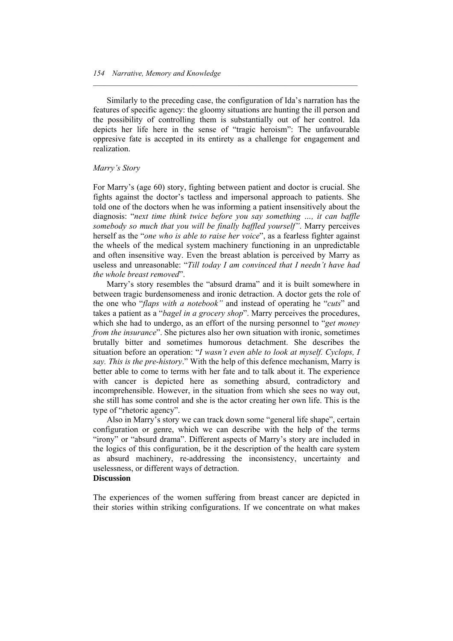Similarly to the preceding case, the configuration of Ida's narration has the features of specific agency: the gloomy situations are hunting the ill person and the possibility of controlling them is substantially out of her control. Ida depicts her life here in the sense of "tragic heroism": The unfavourable oppresive fate is accepted in its entirety as a challenge for engagement and realization.

 $\mathcal{L} = \{ \mathcal{L} \mathcal{L} \mathcal{L} \mathcal{L} \mathcal{L} \mathcal{L} \mathcal{L} \mathcal{L} \mathcal{L} \mathcal{L} \mathcal{L} \mathcal{L} \mathcal{L} \mathcal{L} \mathcal{L} \mathcal{L} \mathcal{L} \mathcal{L} \mathcal{L} \mathcal{L} \mathcal{L} \mathcal{L} \mathcal{L} \mathcal{L} \mathcal{L} \mathcal{L} \mathcal{L} \mathcal{L} \mathcal{L} \mathcal{L} \mathcal{L} \mathcal{L} \mathcal{L} \mathcal{L} \mathcal{L} \$ 

#### *Marry's Story*

For Marry's (age 60) story, fighting between patient and doctor is crucial. She fights against the doctor's tactless and impersonal approach to patients. She told one of the doctors when he was informing a patient insensitively about the diagnosis: "*next time think twice before you say something …, it can baffle somebody so much that you will be finally baffled yourself"*. Marry perceives herself as the "*one who is able to raise her voice*", as a fearless fighter against the wheels of the medical system machinery functioning in an unpredictable and often insensitive way. Even the breast ablation is perceived by Marry as useless and unreasonable: "*Till today I am convinced that I needn't have had the whole breast removed*".

 Marry's story resembles the "absurd drama" and it is built somewhere in between tragic burdensomeness and ironic detraction. A doctor gets the role of the one who "*flaps with a notebook"* and instead of operating he "*cuts*" and takes a patient as a "*bagel in a grocery shop*". Marry perceives the procedures, which she had to undergo, as an effort of the nursing personnel to "*get money from the insurance*". She pictures also her own situation with ironic, sometimes brutally bitter and sometimes humorous detachment. She describes the situation before an operation: "*I wasn't even able to look at myself. Cyclops, I say. This is the pre-history*." With the help of this defence mechanism, Marry is better able to come to terms with her fate and to talk about it. The experience with cancer is depicted here as something absurd, contradictory and incomprehensible. However, in the situation from which she sees no way out, she still has some control and she is the actor creating her own life. This is the type of "rhetoric agency".

 Also in Marry's story we can track down some "general life shape", certain configuration or genre, which we can describe with the help of the terms "irony" or "absurd drama". Different aspects of Marry's story are included in the logics of this configuration, be it the description of the health care system as absurd machinery, re-addressing the inconsistency, uncertainty and uselessness, or different ways of detraction.

#### **Discussion**

The experiences of the women suffering from breast cancer are depicted in their stories within striking configurations. If we concentrate on what makes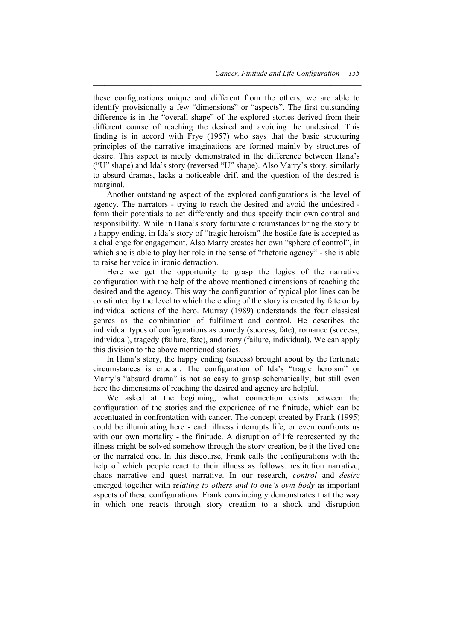these configurations unique and different from the others, we are able to identify provisionally a few "dimensions" or "aspects". The first outstanding difference is in the "overall shape" of the explored stories derived from their different course of reaching the desired and avoiding the undesired. This finding is in accord with Frye (1957) who says that the basic structuring principles of the narrative imaginations are formed mainly by structures of desire. This aspect is nicely demonstrated in the difference between Hana's ("U" shape) and Ida's story (reversed "U" shape). Also Marry's story, similarly to absurd dramas, lacks a noticeable drift and the question of the desired is marginal.

 $\mathcal{L} = \{ \mathcal{L} \mathcal{L} \mathcal{L} \mathcal{L} \mathcal{L} \mathcal{L} \mathcal{L} \mathcal{L} \mathcal{L} \mathcal{L} \mathcal{L} \mathcal{L} \mathcal{L} \mathcal{L} \mathcal{L} \mathcal{L} \mathcal{L} \mathcal{L} \mathcal{L} \mathcal{L} \mathcal{L} \mathcal{L} \mathcal{L} \mathcal{L} \mathcal{L} \mathcal{L} \mathcal{L} \mathcal{L} \mathcal{L} \mathcal{L} \mathcal{L} \mathcal{L} \mathcal{L} \mathcal{L} \mathcal{L} \$ 

 Another outstanding aspect of the explored configurations is the level of agency. The narrators - trying to reach the desired and avoid the undesired form their potentials to act differently and thus specify their own control and responsibility. While in Hana's story fortunate circumstances bring the story to a happy ending, in Ida's story of "tragic heroism" the hostile fate is accepted as a challenge for engagement. Also Marry creates her own "sphere of control", in which she is able to play her role in the sense of "rhetoric agency" - she is able to raise her voice in ironic detraction.

 Here we get the opportunity to grasp the logics of the narrative configuration with the help of the above mentioned dimensions of reaching the desired and the agency. This way the configuration of typical plot lines can be constituted by the level to which the ending of the story is created by fate or by individual actions of the hero. Murray (1989) understands the four classical genres as the combination of fulfilment and control. He describes the individual types of configurations as comedy (success, fate), romance (success, individual), tragedy (failure, fate), and irony (failure, individual). We can apply this division to the above mentioned stories.

 In Hana's story, the happy ending (sucess) brought about by the fortunate circumstances is crucial. The configuration of Ida's "tragic heroism" or Marry's "absurd drama" is not so easy to grasp schematically, but still even here the dimensions of reaching the desired and agency are helpful.

 We asked at the beginning, what connection exists between the configuration of the stories and the experience of the finitude, which can be accentuated in confrontation with cancer. The concept created by Frank (1995) could be illuminating here - each illness interrupts life, or even confronts us with our own mortality - the finitude. A disruption of life represented by the illness might be solved somehow through the story creation, be it the lived one or the narrated one. In this discourse, Frank calls the configurations with the help of which people react to their illness as follows: restitution narrative, chaos narrative and quest narrative. In our research, *control* and *desire* emerged together with r*elating to others and to one's own body* as important aspects of these configurations. Frank convincingly demonstrates that the way in which one reacts through story creation to a shock and disruption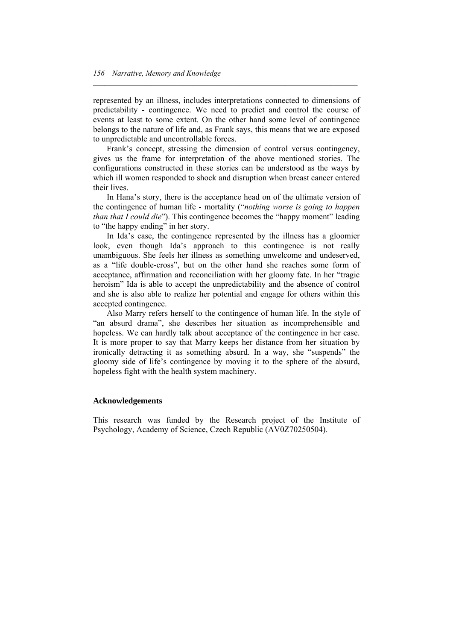represented by an illness, includes interpretations connected to dimensions of predictability - contingence. We need to predict and control the course of events at least to some extent. On the other hand some level of contingence belongs to the nature of life and, as Frank says, this means that we are exposed to unpredictable and uncontrollable forces.

 $\mathcal{L} = \{ \mathcal{L} \mathcal{L} \mathcal{L} \mathcal{L} \mathcal{L} \mathcal{L} \mathcal{L} \mathcal{L} \mathcal{L} \mathcal{L} \mathcal{L} \mathcal{L} \mathcal{L} \mathcal{L} \mathcal{L} \mathcal{L} \mathcal{L} \mathcal{L} \mathcal{L} \mathcal{L} \mathcal{L} \mathcal{L} \mathcal{L} \mathcal{L} \mathcal{L} \mathcal{L} \mathcal{L} \mathcal{L} \mathcal{L} \mathcal{L} \mathcal{L} \mathcal{L} \mathcal{L} \mathcal{L} \mathcal{L} \$ 

 Frank's concept, stressing the dimension of control versus contingency, gives us the frame for interpretation of the above mentioned stories. The configurations constructed in these stories can be understood as the ways by which ill women responded to shock and disruption when breast cancer entered their lives.

 In Hana's story, there is the acceptance head on of the ultimate version of the contingence of human life - mortality ("*nothing worse is going to happen than that I could die*"). This contingence becomes the "happy moment" leading to "the happy ending" in her story.

 In Ida's case, the contingence represented by the illness has a gloomier look, even though Ida's approach to this contingence is not really unambiguous. She feels her illness as something unwelcome and undeserved, as a "life double-cross", but on the other hand she reaches some form of acceptance, affirmation and reconciliation with her gloomy fate. In her "tragic heroism" Ida is able to accept the unpredictability and the absence of control and she is also able to realize her potential and engage for others within this accepted contingence.

 Also Marry refers herself to the contingence of human life. In the style of "an absurd drama", she describes her situation as incomprehensible and hopeless. We can hardly talk about acceptance of the contingence in her case. It is more proper to say that Marry keeps her distance from her situation by ironically detracting it as something absurd. In a way, she "suspends" the gloomy side of life's contingence by moving it to the sphere of the absurd, hopeless fight with the health system machinery.

# **Acknowledgements**

This research was funded by the Research project of the Institute of Psychology, Academy of Science, Czech Republic (AV0Z70250504).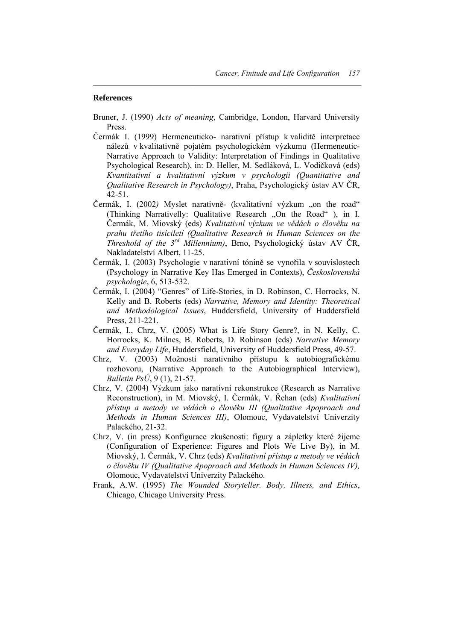#### **References**

Bruner, J. (1990) *Acts of meaning*, Cambridge, London, Harvard University Press.

 $\mathcal{L} = \{ \mathcal{L} \mathcal{L} \mathcal{L} \mathcal{L} \mathcal{L} \mathcal{L} \mathcal{L} \mathcal{L} \mathcal{L} \mathcal{L} \mathcal{L} \mathcal{L} \mathcal{L} \mathcal{L} \mathcal{L} \mathcal{L} \mathcal{L} \mathcal{L} \mathcal{L} \mathcal{L} \mathcal{L} \mathcal{L} \mathcal{L} \mathcal{L} \mathcal{L} \mathcal{L} \mathcal{L} \mathcal{L} \mathcal{L} \mathcal{L} \mathcal{L} \mathcal{L} \mathcal{L} \mathcal{L} \mathcal{L} \$ 

- Čermák I. (1999) Hermeneuticko- narativní přístup k validitě interpretace nálezů v kvalitativně pojatém psychologickém výzkumu (Hermeneutic-Narrative Approach to Validity: Interpretation of Findings in Qualitative Psychological Research), in: D. Heller, M. Sedláková, L. Vodičková (eds) *Kvantitativní a kvalitativní výzkum v psychologii (Quantitative and Qualitative Research in Psychology)*, Praha, Psychologický ústav AV ČR, 42-51.
- Čermák, I. (2002) Myslet narativně- (kvalitativní výzkum "on the road" (Thinking Narrativelly: Qualitative Research "On the Road" ), in I. Čermák, M. Miovský (eds) *Kvalitativní výzkum ve vědách o člověku na prahu třetího tisíciletí (Qualitative Research in Human Sciences on the Threshold of the 3rd Millennium)*, Brno, Psychologický ústav AV ČR, Nakladatelství Albert, 11-25.
- Čermák, I. (2003) Psychologie v narativní tónině se vynořila v souvislostech (Psychology in Narrative Key Has Emerged in Contexts), *Československá psychologie*, 6, 513-532.
- Čermák, I. (2004) "Genres" of Life-Stories, in D. Robinson, C. Horrocks, N. Kelly and B. Roberts (eds) *Narrative, Memory and Identity: Theoretical and Methodological Issues*, Huddersfield, University of Huddersfield Press, 211-221.
- Čermák, I., Chrz, V. (2005) What is Life Story Genre?, in N. Kelly, C. Horrocks, K. Milnes, B. Roberts, D. Robinson (eds) *Narrative Memory and Everyday Life*, Huddersfield, University of Huddersfield Press, 49-57.
- Chrz, V. (2003) Možnosti narativního přístupu k autobiografickému rozhovoru, (Narrative Approach to the Autobiographical Interview), *Bulletin PsÚ*, 9 (1), 21-57.
- Chrz, V. (2004) Výzkum jako narativní rekonstrukce (Research as Narrative Reconstruction), in M. Miovský, I. Čermák, V. Řehan (eds) *Kvalitativní přístup a metody ve vědách o člověku III (Qualitative Apoproach and Methods in Human Sciences III)*, Olomouc, Vydavatelství Univerzity Palackého, 21-32.
- Chrz, V. (in press) Konfigurace zkušenosti: figury a zápletky které žijeme (Configuration of Experience: Figures and Plots We Live By), in M. Miovský, I. Čermák, V. Chrz (eds) *Kvalitativní přístup a metody ve vědách o člověku IV (Qualitative Apoproach and Methods in Human Sciences IV),*  Olomouc, Vydavatelství Univerzity Palackého.
- Frank, A.W. (1995) *The Wounded Storyteller. Body, Illness, and Ethics*, Chicago, Chicago University Press.